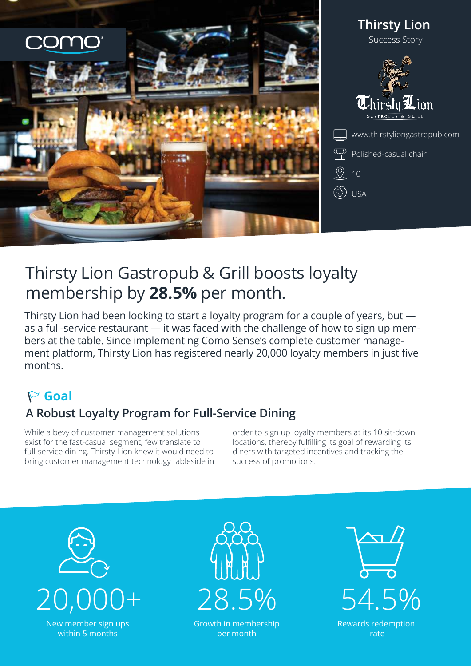

# Thirsty Lion Gastropub & Grill boosts loyalty membership by **28.5%** per month.

Thirsty Lion had been looking to start a loyalty program for a couple of years, but as a full-service restaurant — it was faced with the challenge of how to sign up members at the table. Since implementing Como Sense's complete customer management platform, Thirsty Lion has registered nearly 20,000 loyalty members in just five months.

# **Goal**

## **A Robust Loyalty Program for Full-Service Dining**

While a bevy of customer management solutions exist for the fast-casual segment, few translate to full-service dining. Thirsty Lion knew it would need to bring customer management technology tableside in order to sign up loyalty members at its 10 sit-down locations, thereby fulfilling its goal of rewarding its diners with targeted incentives and tracking the success of promotions.





Growth in membership per month